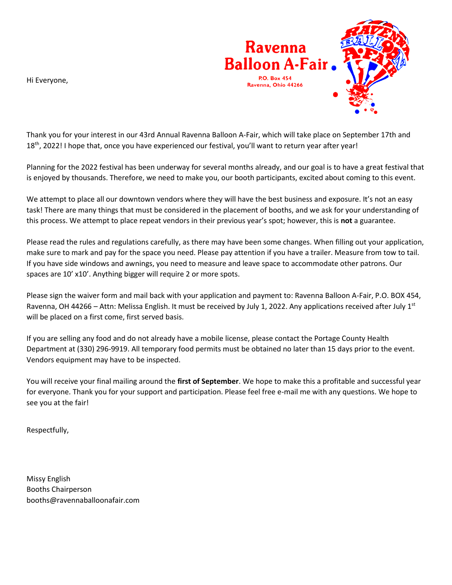



Thank you for your interest in our 43rd Annual Ravenna Balloon A-Fair, which will take place on September 17th and 18<sup>th</sup>, 2022! I hope that, once you have experienced our festival, you'll want to return year after year!

Planning for the 2022 festival has been underway for several months already, and our goal is to have a great festival that is enjoyed by thousands. Therefore, we need to make you, our booth participants, excited about coming to this event.

We attempt to place all our downtown vendors where they will have the best business and exposure. It's not an easy task! There are many things that must be considered in the placement of booths, and we ask for your understanding of this process. We attempt to place repeat vendors in their previous year's spot; however, this is **not** a guarantee.

Please read the rules and regulations carefully, as there may have been some changes. When filling out your application, make sure to mark and pay for the space you need. Please pay attention if you have a trailer. Measure from tow to tail. If you have side windows and awnings, you need to measure and leave space to accommodate other patrons. Our spaces are 10' x10'. Anything bigger will require 2 or more spots.

Please sign the waiver form and mail back with your application and payment to: Ravenna Balloon A-Fair, P.O. BOX 454, Ravenna, OH 44266 – Attn: Melissa English. It must be received by July 1, 2022. Any applications received after July 1st will be placed on a first come, first served basis.

If you are selling any food and do not already have a mobile license, please contact the Portage County Health Department at (330) 296-9919. All temporary food permits must be obtained no later than 15 days prior to the event. Vendors equipment may have to be inspected.

You will receive your final mailing around the **first of September**. We hope to make this a profitable and successful year for everyone. Thank you for your support and participation. Please feel free e-mail me with any questions. We hope to see you at the fair!

Respectfully,

Missy English Booths Chairperson booths@ravennaballoonafair.com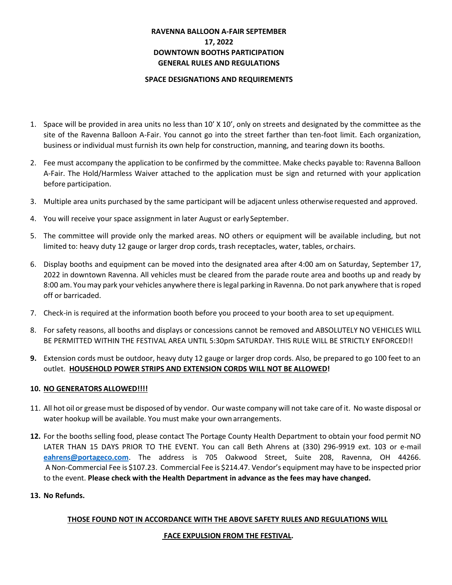#### **RAVENNA BALLOON A-FAIR SEPTEMBER 17, 2022 DOWNTOWN BOOTHS PARTICIPATION GENERAL RULES AND REGULATIONS**

#### **SPACE DESIGNATIONS AND REQUIREMENTS**

- 1. Space will be provided in area units no less than 10' X 10', only on streets and designated by the committee as the site of the Ravenna Balloon A-Fair. You cannot go into the street farther than ten-foot limit. Each organization, business or individual must furnish its own help for construction, manning, and tearing down its booths.
- 2. Fee must accompany the application to be confirmed by the committee. Make checks payable to: Ravenna Balloon A-Fair. The Hold/Harmless Waiver attached to the application must be sign and returned with your application before participation.
- 3. Multiple area units purchased by the same participant will be adjacent unless otherwiserequested and approved.
- 4. You will receive your space assignment in later August or early September.
- 5. The committee will provide only the marked areas. NO others or equipment will be available including, but not limited to: heavy duty 12 gauge or larger drop cords, trash receptacles, water, tables, or chairs.
- 6. Display booths and equipment can be moved into the designated area after 4:00 am on Saturday, September 17, 2022 in downtown Ravenna. All vehicles must be cleared from the parade route area and booths up and ready by 8:00 am. You may park your vehicles anywhere there islegal parking in Ravenna. Do not park anywhere that is roped off or barricaded.
- 7. Check-in is required at the information booth before you proceed to your booth area to set upequipment.
- 8. For safety reasons, all booths and displays or concessions cannot be removed and ABSOLUTELY NO VEHICLES WILL BE PERMITTED WITHIN THE FESTIVAL AREA UNTIL 5:30pm SATURDAY. THIS RULE WILL BE STRICTLY ENFORCED!!
- **9.** Extension cords must be outdoor, heavy duty 12 gauge or larger drop cords. Also, be prepared to go 100 feet to an outlet. **HOUSEHOLD POWER STRIPS AND EXTENSION CORDS WILL NOT BE ALLOWED!**

#### **10. NO GENERATORS ALLOWED!!!!**

- 11. All hot oil or grease must be disposed of by vendor. Our waste company will not take care of it. No waste disposal or water hookup will be available. You must make your ownarrangements.
- **12.** For the booths selling food, please contact The Portage County Health Department to obtain your food permit NO LATER THAN 15 DAYS PRIOR TO THE EVENT. You can call Beth Ahrens at (330) 296-9919 ext. 103 or e-mail **[eahrens@portageco.com](mailto:eahrens@portageco.com)**. The address is 705 Oakwood Street, Suite 208, Ravenna, OH 44266. A Non-Commercial Fee is \$107.23. Commercial Fee is \$214.47. Vendor's equipment may have to be inspected prior to the event. **Please check with the Health Department in advance as the fees may have changed.**

#### **13. No Refunds.**

#### **THOSE FOUND NOT IN ACCORDANCE WITH THE ABOVE SAFETY RULES AND REGULATIONS WILL**

#### **FACE EXPULSION FROM THE FESTIVAL.**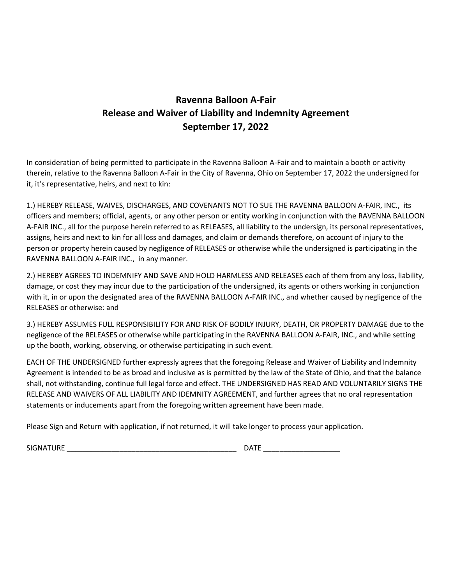## **Ravenna Balloon A-Fair Release and Waiver of Liability and Indemnity Agreement September 17, 2022**

In consideration of being permitted to participate in the Ravenna Balloon A-Fair and to maintain a booth or activity therein, relative to the Ravenna Balloon A-Fair in the City of Ravenna, Ohio on September 17, 2022 the undersigned for it, it's representative, heirs, and next to kin:

1.) HEREBY RELEASE, WAIVES, DISCHARGES, AND COVENANTS NOT TO SUE THE RAVENNA BALLOON A-FAIR, INC., its officers and members; official, agents, or any other person or entity working in conjunction with the RAVENNA BALLOON A-FAIR INC., all for the purpose herein referred to as RELEASES, all liability to the undersign, its personal representatives, assigns, heirs and next to kin for all loss and damages, and claim or demands therefore, on account of injury to the person or property herein caused by negligence of RELEASES or otherwise while the undersigned is participating in the RAVENNA BALLOON A-FAIR INC., in any manner.

2.) HEREBY AGREES TO INDEMNIFY AND SAVE AND HOLD HARMLESS AND RELEASES each of them from any loss, liability, damage, or cost they may incur due to the participation of the undersigned, its agents or others working in conjunction with it, in or upon the designated area of the RAVENNA BALLOON A-FAIR INC., and whether caused by negligence of the RELEASES or otherwise: and

3.) HEREBY ASSUMES FULL RESPONSIBILITY FOR AND RISK OF BODILY INJURY, DEATH, OR PROPERTY DAMAGE due to the negligence of the RELEASES or otherwise while participating in the RAVENNA BALLOON A-FAIR, INC., and while setting up the booth, working, observing, or otherwise participating in such event.

EACH OF THE UNDERSIGNED further expressly agrees that the foregoing Release and Waiver of Liability and Indemnity Agreement is intended to be as broad and inclusive as is permitted by the law of the State of Ohio, and that the balance shall, not withstanding, continue full legal force and effect. THE UNDERSIGNED HAS READ AND VOLUNTARILY SIGNS THE RELEASE AND WAIVERS OF ALL LIABILITY AND IDEMNITY AGREEMENT, and further agrees that no oral representation statements or inducements apart from the foregoing written agreement have been made.

Please Sign and Return with application, if not returned, it will take longer to process your application.

SIGNATURE \_\_\_\_\_\_\_\_\_\_\_\_\_\_\_\_\_\_\_\_\_\_\_\_\_\_\_\_\_\_\_\_\_\_\_\_\_\_\_\_\_\_ DATE \_\_\_\_\_\_\_\_\_\_\_\_\_\_\_\_\_\_\_